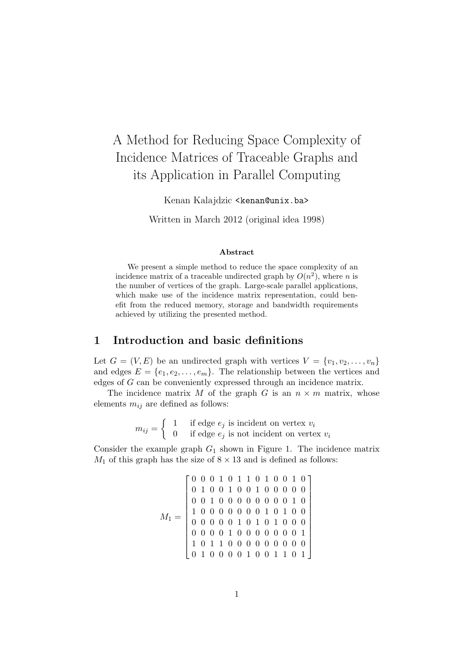# A Method for Reducing Space Complexity of Incidence Matrices of Traceable Graphs and its Application in Parallel Computing

Kenan Kalajdzic <kenan@unix.ba>

Written in March 2012 (original idea 1998)

#### Abstract

We present a simple method to reduce the space complexity of an incidence matrix of a traceable undirected graph by  $O(n^2)$ , where n is the number of vertices of the graph. Large-scale parallel applications, which make use of the incidence matrix representation, could benefit from the reduced memory, storage and bandwidth requirements achieved by utilizing the presented method.

### 1 Introduction and basic definitions

Let  $G = (V, E)$  be an undirected graph with vertices  $V = \{v_1, v_2, \ldots, v_n\}$ and edges  $E = \{e_1, e_2, \ldots, e_m\}$ . The relationship between the vertices and edges of G can be conveniently expressed through an incidence matrix.

The incidence matrix  $M$  of the graph  $G$  is an  $n \times m$  matrix, whose elements  $m_{ij}$  are defined as follows:

> $m_{ij} = \begin{cases} 1 & \text{if edge } e_j \text{ is incident on vertex } v_i \\ 0 & \text{if edge } e_j \text{ is not incident on vertex } i \end{cases}$ 0 if edge  $e_j$  is not incident on vertex  $v_i$

Consider the example graph  $G_1$  shown in Figure 1. The incidence matrix  $M_1$  of this graph has the size of  $8 \times 13$  and is defined as follows:

M1 = 0 0 0 1 0 1 1 0 1 0 0 1 0 0 1 0 0 1 0 0 1 0 0 0 0 0 0 0 1 0 0 0 0 0 0 0 0 1 0 1 0 0 0 0 0 0 0 1 0 1 0 0 0 0 0 0 0 1 0 1 0 1 0 0 0 0 0 0 0 1 0 0 0 0 0 0 0 1 1 0 1 1 0 0 0 0 0 0 0 0 0 0 1 0 0 0 0 1 0 0 1 1 0 1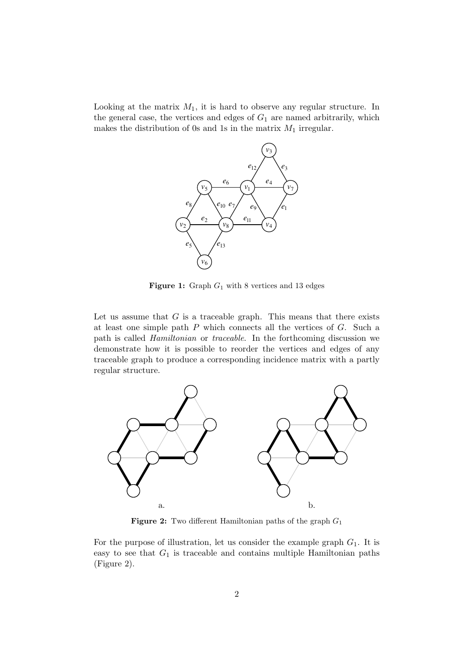Looking at the matrix  $M_1$ , it is hard to observe any regular structure. In the general case, the vertices and edges of  $G_1$  are named arbitrarily, which makes the distribution of 0s and 1s in the matrix  $M_1$  irregular.



Figure 1: Graph  $G_1$  with 8 vertices and 13 edges

Let us assume that  $G$  is a traceable graph. This means that there exists at least one simple path P which connects all the vertices of G. Such a path is called Hamiltonian or traceable. In the forthcoming discussion we demonstrate how it is possible to reorder the vertices and edges of any traceable graph to produce a corresponding incidence matrix with a partly regular structure.



**Figure 2:** Two different Hamiltonian paths of the graph  $G_1$ 

For the purpose of illustration, let us consider the example graph  $G_1$ . It is easy to see that  $G_1$  is traceable and contains multiple Hamiltonian paths (Figure 2).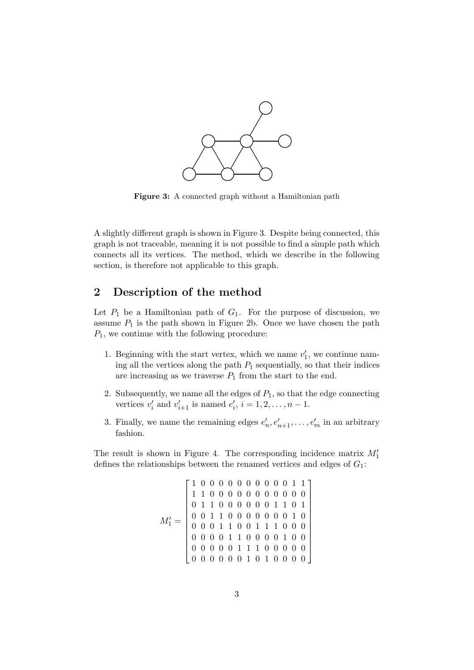

Figure 3: A connected graph without a Hamiltonian path

A slightly different graph is shown in Figure 3. Despite being connected, this graph is not traceable, meaning it is not possible to find a simple path which connects all its vertices. The method, which we describe in the following section, is therefore not applicable to this graph.

## 2 Description of the method

Let  $P_1$  be a Hamiltonian path of  $G_1$ . For the purpose of discussion, we assume  $P_1$  is the path shown in Figure 2b. Once we have chosen the path  $P_1$ , we continue with the following procedure:

- 1. Beginning with the start vertex, which we name  $v_1'$  $_1'$ , we continue naming all the vertices along the path  $P_1$  sequentially, so that their indices are increasing as we traverse  $P_1$  from the start to the end.
- 2. Subsequently, we name all the edges of  $P_1$ , so that the edge connecting vertices  $v_i'$  $i$  and  $v'_{i+1}$  is named  $e'_{i}$  $i, i = 1, 2, \ldots, n-1.$
- 3. Finally, we name the remaining edges  $e'_{i}$  $e'_{n+1}, \ldots, e'_{m}$  in an arbitrary fashion.

The result is shown in Figure 4. The corresponding incidence matrix  $M'_1$ defines the relationships between the renamed vertices and edges of  $G_1$ :

M′ <sup>1</sup> = 1 0 0 0 0 0 0 0 0 0 0 1 1 1 1 0 0 0 0 0 0 0 0 0 0 0 0 1 1 0 0 0 0 0 0 1 1 0 1 0 0 1 1 0 0 0 0 0 0 0 1 0 0 0 0 1 1 0 0 1 1 1 0 0 0 0 0 0 0 1 1 0 0 0 0 1 0 0 0 0 0 0 0 1 1 1 0 0 0 0 0 0 0 0 0 0 0 1 0 1 0 0 0 0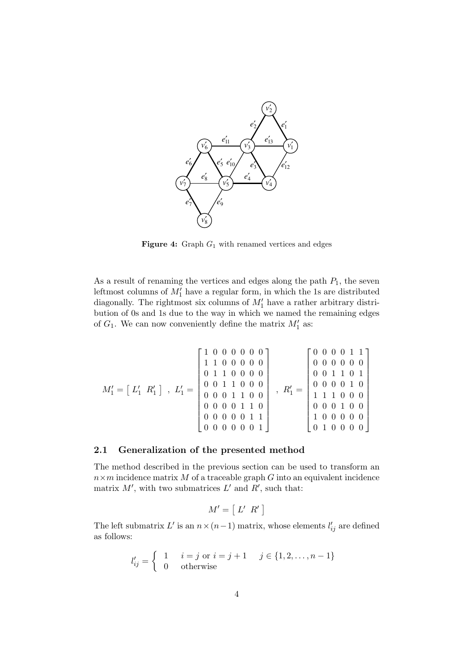

Figure 4: Graph  $G_1$  with renamed vertices and edges

As a result of renaming the vertices and edges along the path  $P_1$ , the seven leftmost columns of  $M'_1$  have a regular form, in which the 1s are distributed diagonally. The rightmost six columns of  $M'_1$  have a rather arbitrary distribution of 0s and 1s due to the way in which we named the remaining edges of  $G_1$ . We can now conveniently define the matrix  $M'_1$  as:

M′ <sup>1</sup> = -L ′ <sup>1</sup> <sup>R</sup>′ 1 , L′ <sup>1</sup> = 1 0 0 0 0 0 0 1 1 0 0 0 0 0 0 1 1 0 0 0 0 0 0 1 1 0 0 0 0 0 0 1 1 0 0 0 0 0 0 1 1 0 0 0 0 0 0 1 1 0 0 0 0 0 0 1 , R′ <sup>1</sup> = 0 0 0 0 1 1 0 0 0 0 0 0 0 0 1 1 0 1 0 0 0 0 1 0 1 1 1 0 0 0 0 0 0 1 0 0 1 0 0 0 0 0 0 1 0 0 0 0 

#### 2.1 Generalization of the presented method

The method described in the previous section can be used to transform an  $n \times m$  incidence matrix M of a traceable graph G into an equivalent incidence matrix  $M'$ , with two submatrices  $L'$  and  $R'$ , such that:

$$
M' = [L' R']
$$

The left submatrix  $L'$  is an  $n \times (n-1)$  matrix, whose elements  $l'_{ij}$  are defined as follows:

$$
l'_{ij} = \begin{cases} 1 & i = j \text{ or } i = j + 1 \\ 0 & \text{otherwise} \end{cases} \quad j \in \{1, 2, \dots, n - 1\}
$$